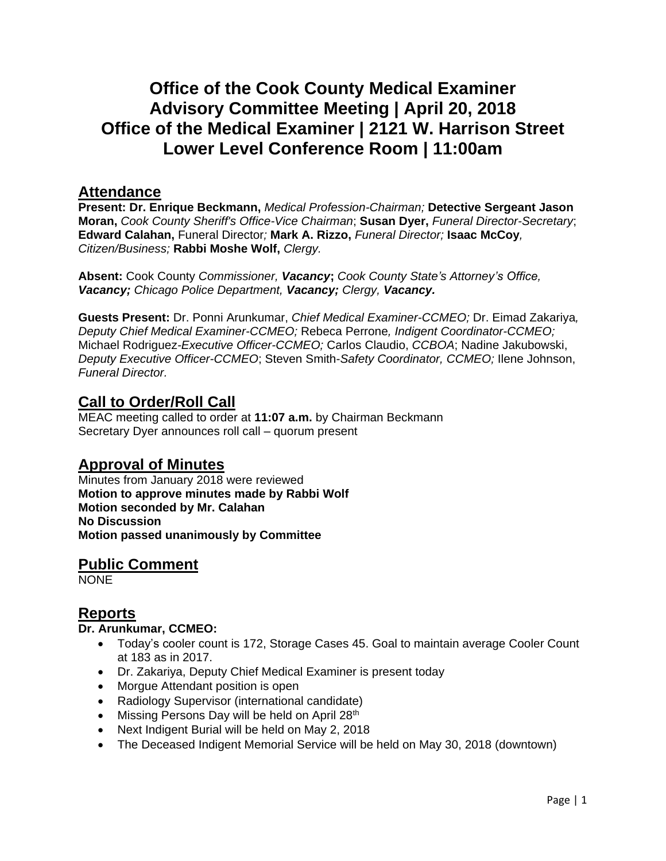# **Office of the Cook County Medical Examiner Advisory Committee Meeting | April 20, 2018 Office of the Medical Examiner | 2121 W. Harrison Street Lower Level Conference Room | 11:00am**

### **Attendance**

**Present: Dr. Enrique Beckmann,** *Medical Profession-Chairman;* **Detective Sergeant Jason Moran,** *Cook County Sheriff's Office-Vice Chairman*; **Susan Dyer,** *Funeral Director-Secretary*; **Edward Calahan,** Funeral Director*;* **Mark A. Rizzo,** *Funeral Director;* **Isaac McCoy***, Citizen/Business;* **Rabbi Moshe Wolf,** *Clergy.*

**Absent:** Cook County *Commissioner, Vacancy***;** *Cook County State's Attorney's Office, Vacancy; Chicago Police Department, Vacancy; Clergy, Vacancy.*

**Guests Present:** Dr. Ponni Arunkumar, *Chief Medical Examiner-CCMEO;* Dr. Eimad Zakariya*, Deputy Chief Medical Examiner-CCMEO;* Rebeca Perrone*, Indigent Coordinator-CCMEO;* Michael Rodriguez*-Executive Officer-CCMEO;* Carlos Claudio, *CCBOA*; Nadine Jakubowski, *Deputy Executive Officer-CCMEO*; Steven Smith-*Safety Coordinator, CCMEO;* Ilene Johnson, *Funeral Director.*

## **Call to Order/Roll Call**

MEAC meeting called to order at **11:07 a.m.** by Chairman Beckmann Secretary Dyer announces roll call – quorum present

## **Approval of Minutes**

Minutes from January 2018 were reviewed **Motion to approve minutes made by Rabbi Wolf Motion seconded by Mr. Calahan No Discussion Motion passed unanimously by Committee**

**Public Comment NONE** 

## **Reports**

#### **Dr. Arunkumar, CCMEO:**

- Today's cooler count is 172, Storage Cases 45. Goal to maintain average Cooler Count at 183 as in 2017.
- Dr. Zakariya, Deputy Chief Medical Examiner is present today
- Morgue Attendant position is open
- Radiology Supervisor (international candidate)
- Missing Persons Day will be held on April 28<sup>th</sup>
- Next Indigent Burial will be held on May 2, 2018
- The Deceased Indigent Memorial Service will be held on May 30, 2018 (downtown)